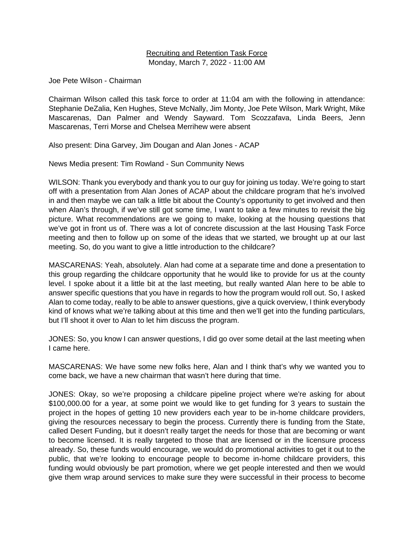### Recruiting and Retention Task Force Monday, March 7, 2022 - 11:00 AM

Joe Pete Wilson - Chairman

Chairman Wilson called this task force to order at 11:04 am with the following in attendance: Stephanie DeZalia, Ken Hughes, Steve McNally, Jim Monty, Joe Pete Wilson, Mark Wright, Mike Mascarenas, Dan Palmer and Wendy Sayward. Tom Scozzafava, Linda Beers, Jenn Mascarenas, Terri Morse and Chelsea Merrihew were absent

Also present: Dina Garvey, Jim Dougan and Alan Jones - ACAP

News Media present: Tim Rowland - Sun Community News

WILSON: Thank you everybody and thank you to our guy for joining us today. We're going to start off with a presentation from Alan Jones of ACAP about the childcare program that he's involved in and then maybe we can talk a little bit about the County's opportunity to get involved and then when Alan's through, if we've still got some time, I want to take a few minutes to revisit the big picture. What recommendations are we going to make, looking at the housing questions that we've got in front us of. There was a lot of concrete discussion at the last Housing Task Force meeting and then to follow up on some of the ideas that we started, we brought up at our last meeting. So, do you want to give a little introduction to the childcare?

MASCARENAS: Yeah, absolutely. Alan had come at a separate time and done a presentation to this group regarding the childcare opportunity that he would like to provide for us at the county level. I spoke about it a little bit at the last meeting, but really wanted Alan here to be able to answer specific questions that you have in regards to how the program would roll out. So, I asked Alan to come today, really to be able to answer questions, give a quick overview, I think everybody kind of knows what we're talking about at this time and then we'll get into the funding particulars, but I'll shoot it over to Alan to let him discuss the program.

JONES: So, you know I can answer questions, I did go over some detail at the last meeting when I came here.

MASCARENAS: We have some new folks here, Alan and I think that's why we wanted you to come back, we have a new chairman that wasn't here during that time.

JONES: Okay, so we're proposing a childcare pipeline project where we're asking for about \$100,000.00 for a year, at some point we would like to get funding for 3 years to sustain the project in the hopes of getting 10 new providers each year to be in-home childcare providers, giving the resources necessary to begin the process. Currently there is funding from the State, called Desert Funding, but it doesn't really target the needs for those that are becoming or want to become licensed. It is really targeted to those that are licensed or in the licensure process already. So, these funds would encourage, we would do promotional activities to get it out to the public, that we're looking to encourage people to become in-home childcare providers, this funding would obviously be part promotion, where we get people interested and then we would give them wrap around services to make sure they were successful in their process to become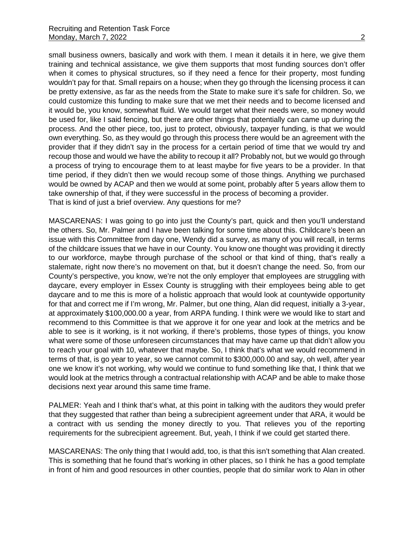small business owners, basically and work with them. I mean it details it in here, we give them training and technical assistance, we give them supports that most funding sources don't offer when it comes to physical structures, so if they need a fence for their property, most funding wouldn't pay for that. Small repairs on a house; when they go through the licensing process it can be pretty extensive, as far as the needs from the State to make sure it's safe for children. So, we could customize this funding to make sure that we met their needs and to become licensed and it would be, you know, somewhat fluid. We would target what their needs were, so money would be used for, like I said fencing, but there are other things that potentially can came up during the process. And the other piece, too, just to protect, obviously, taxpayer funding, is that we would own everything. So, as they would go through this process there would be an agreement with the provider that if they didn't say in the process for a certain period of time that we would try and recoup those and would we have the ability to recoup it all? Probably not, but we would go through a process of trying to encourage them to at least maybe for five years to be a provider. In that time period, if they didn't then we would recoup some of those things. Anything we purchased would be owned by ACAP and then we would at some point, probably after 5 years allow them to take ownership of that, if they were successful in the process of becoming a provider. That is kind of just a brief overview. Any questions for me?

MASCARENAS: I was going to go into just the County's part, quick and then you'll understand the others. So, Mr. Palmer and I have been talking for some time about this. Childcare's been an issue with this Committee from day one, Wendy did a survey, as many of you will recall, in terms of the childcare issues that we have in our County. You know one thought was providing it directly to our workforce, maybe through purchase of the school or that kind of thing, that's really a stalemate, right now there's no movement on that, but it doesn't change the need. So, from our County's perspective, you know, we're not the only employer that employees are struggling with daycare, every employer in Essex County is struggling with their employees being able to get daycare and to me this is more of a holistic approach that would look at countywide opportunity for that and correct me if I'm wrong, Mr. Palmer, but one thing, Alan did request, initially a 3-year, at approximately \$100,000.00 a year, from ARPA funding. I think were we would like to start and recommend to this Committee is that we approve it for one year and look at the metrics and be able to see is it working, is it not working, if there's problems, those types of things, you know what were some of those unforeseen circumstances that may have came up that didn't allow you to reach your goal with 10, whatever that maybe. So, I think that's what we would recommend in terms of that, is go year to year, so we cannot commit to \$300,000.00 and say, oh well, after year one we know it's not working, why would we continue to fund something like that, I think that we would look at the metrics through a contractual relationship with ACAP and be able to make those decisions next year around this same time frame.

PALMER: Yeah and I think that's what, at this point in talking with the auditors they would prefer that they suggested that rather than being a subrecipient agreement under that ARA, it would be a contract with us sending the money directly to you. That relieves you of the reporting requirements for the subrecipient agreement. But, yeah, I think if we could get started there.

MASCARENAS: The only thing that I would add, too, is that this isn't something that Alan created. This is something that he found that's working in other places, so I think he has a good template in front of him and good resources in other counties, people that do similar work to Alan in other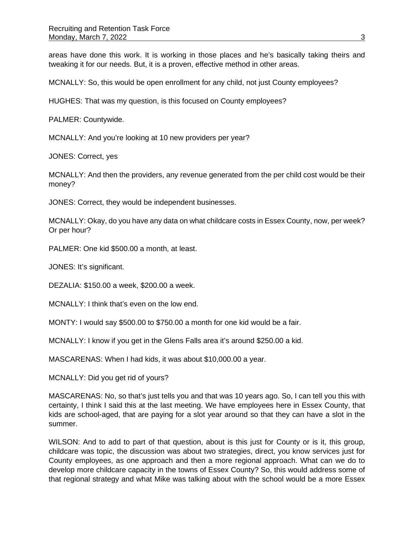areas have done this work. It is working in those places and he's basically taking theirs and tweaking it for our needs. But, it is a proven, effective method in other areas.

MCNALLY: So, this would be open enrollment for any child, not just County employees?

HUGHES: That was my question, is this focused on County employees?

PALMER: Countywide.

MCNALLY: And you're looking at 10 new providers per year?

JONES: Correct, yes

MCNALLY: And then the providers, any revenue generated from the per child cost would be their money?

JONES: Correct, they would be independent businesses.

MCNALLY: Okay, do you have any data on what childcare costs in Essex County, now, per week? Or per hour?

PALMER: One kid \$500.00 a month, at least.

JONES: It's significant.

DEZALIA: \$150.00 a week, \$200.00 a week.

MCNALLY: I think that's even on the low end.

MONTY: I would say \$500.00 to \$750.00 a month for one kid would be a fair.

MCNALLY: I know if you get in the Glens Falls area it's around \$250.00 a kid.

MASCARENAS: When I had kids, it was about \$10,000.00 a year.

MCNALLY: Did you get rid of yours?

MASCARENAS: No, so that's just tells you and that was 10 years ago. So, I can tell you this with certainty, I think I said this at the last meeting. We have employees here in Essex County, that kids are school-aged, that are paying for a slot year around so that they can have a slot in the summer.

WILSON: And to add to part of that question, about is this just for County or is it, this group, childcare was topic, the discussion was about two strategies, direct, you know services just for County employees, as one approach and then a more regional approach. What can we do to develop more childcare capacity in the towns of Essex County? So, this would address some of that regional strategy and what Mike was talking about with the school would be a more Essex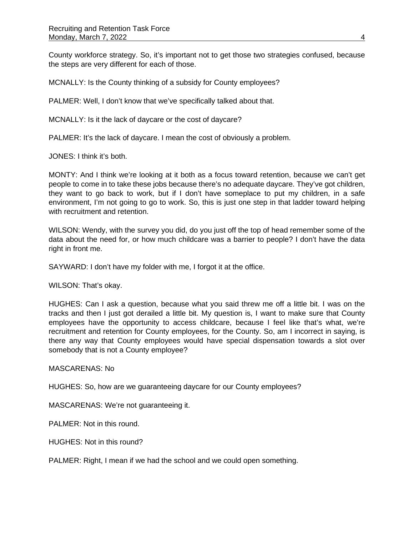County workforce strategy. So, it's important not to get those two strategies confused, because the steps are very different for each of those.

MCNALLY: Is the County thinking of a subsidy for County employees?

PALMER: Well, I don't know that we've specifically talked about that.

MCNALLY: Is it the lack of daycare or the cost of daycare?

PALMER: It's the lack of daycare. I mean the cost of obviously a problem.

JONES: I think it's both.

MONTY: And I think we're looking at it both as a focus toward retention, because we can't get people to come in to take these jobs because there's no adequate daycare. They've got children, they want to go back to work, but if I don't have someplace to put my children, in a safe environment, I'm not going to go to work. So, this is just one step in that ladder toward helping with recruitment and retention.

WILSON: Wendy, with the survey you did, do you just off the top of head remember some of the data about the need for, or how much childcare was a barrier to people? I don't have the data right in front me.

SAYWARD: I don't have my folder with me, I forgot it at the office.

WILSON: That's okay.

HUGHES: Can I ask a question, because what you said threw me off a little bit. I was on the tracks and then I just got derailed a little bit. My question is, I want to make sure that County employees have the opportunity to access childcare, because I feel like that's what, we're recruitment and retention for County employees, for the County. So, am I incorrect in saying, is there any way that County employees would have special dispensation towards a slot over somebody that is not a County employee?

MASCARENAS: No

HUGHES: So, how are we guaranteeing daycare for our County employees?

MASCARENAS: We're not guaranteeing it.

PALMER: Not in this round.

HUGHES: Not in this round?

PALMER: Right, I mean if we had the school and we could open something.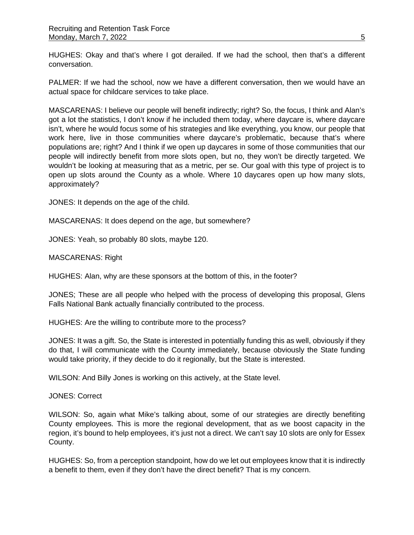HUGHES: Okay and that's where I got derailed. If we had the school, then that's a different conversation.

PALMER: If we had the school, now we have a different conversation, then we would have an actual space for childcare services to take place.

MASCARENAS: I believe our people will benefit indirectly; right? So, the focus, I think and Alan's got a lot the statistics, I don't know if he included them today, where daycare is, where daycare isn't, where he would focus some of his strategies and like everything, you know, our people that work here, live in those communities where daycare's problematic, because that's where populations are; right? And I think if we open up daycares in some of those communities that our people will indirectly benefit from more slots open, but no, they won't be directly targeted. We wouldn't be looking at measuring that as a metric, per se. Our goal with this type of project is to open up slots around the County as a whole. Where 10 daycares open up how many slots, approximately?

JONES: It depends on the age of the child.

MASCARENAS: It does depend on the age, but somewhere?

JONES: Yeah, so probably 80 slots, maybe 120.

MASCARENAS: Right

HUGHES: Alan, why are these sponsors at the bottom of this, in the footer?

JONES; These are all people who helped with the process of developing this proposal, Glens Falls National Bank actually financially contributed to the process.

HUGHES: Are the willing to contribute more to the process?

JONES: It was a gift. So, the State is interested in potentially funding this as well, obviously if they do that, I will communicate with the County immediately, because obviously the State funding would take priority, if they decide to do it regionally, but the State is interested.

WILSON: And Billy Jones is working on this actively, at the State level.

JONES: Correct

WILSON: So, again what Mike's talking about, some of our strategies are directly benefiting County employees. This is more the regional development, that as we boost capacity in the region, it's bound to help employees, it's just not a direct. We can't say 10 slots are only for Essex County.

HUGHES: So, from a perception standpoint, how do we let out employees know that it is indirectly a benefit to them, even if they don't have the direct benefit? That is my concern.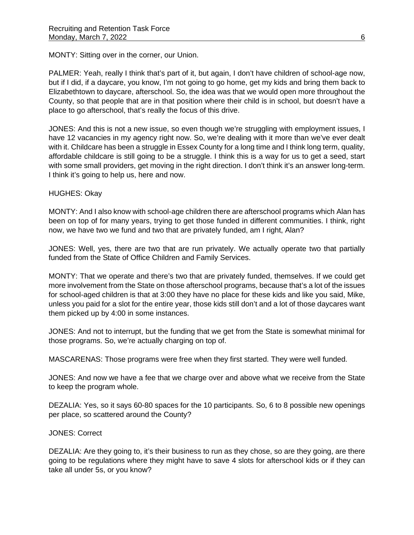MONTY: Sitting over in the corner, our Union.

PALMER: Yeah, really I think that's part of it, but again, I don't have children of school-age now, but if I did, if a daycare, you know, I'm not going to go home, get my kids and bring them back to Elizabethtown to daycare, afterschool. So, the idea was that we would open more throughout the County, so that people that are in that position where their child is in school, but doesn't have a place to go afterschool, that's really the focus of this drive.

JONES: And this is not a new issue, so even though we're struggling with employment issues, I have 12 vacancies in my agency right now. So, we're dealing with it more than we've ever dealt with it. Childcare has been a struggle in Essex County for a long time and I think long term, quality, affordable childcare is still going to be a struggle. I think this is a way for us to get a seed, start with some small providers, get moving in the right direction. I don't think it's an answer long-term. I think it's going to help us, here and now.

# HUGHES: Okay

MONTY: And I also know with school-age children there are afterschool programs which Alan has been on top of for many years, trying to get those funded in different communities. I think, right now, we have two we fund and two that are privately funded, am I right, Alan?

JONES: Well, yes, there are two that are run privately. We actually operate two that partially funded from the State of Office Children and Family Services.

MONTY: That we operate and there's two that are privately funded, themselves. If we could get more involvement from the State on those afterschool programs, because that's a lot of the issues for school-aged children is that at 3:00 they have no place for these kids and like you said, Mike, unless you paid for a slot for the entire year, those kids still don't and a lot of those daycares want them picked up by 4:00 in some instances.

JONES: And not to interrupt, but the funding that we get from the State is somewhat minimal for those programs. So, we're actually charging on top of.

MASCARENAS: Those programs were free when they first started. They were well funded.

JONES: And now we have a fee that we charge over and above what we receive from the State to keep the program whole.

DEZALIA: Yes, so it says 60-80 spaces for the 10 participants. So, 6 to 8 possible new openings per place, so scattered around the County?

JONES: Correct

DEZALIA: Are they going to, it's their business to run as they chose, so are they going, are there going to be regulations where they might have to save 4 slots for afterschool kids or if they can take all under 5s, or you know?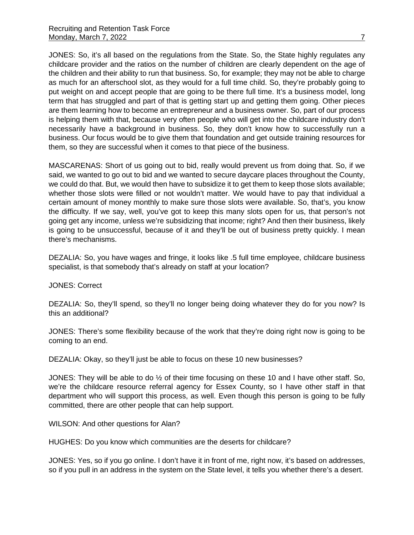JONES: So, it's all based on the regulations from the State. So, the State highly regulates any childcare provider and the ratios on the number of children are clearly dependent on the age of the children and their ability to run that business. So, for example; they may not be able to charge as much for an afterschool slot, as they would for a full time child. So, they're probably going to put weight on and accept people that are going to be there full time. It's a business model, long term that has struggled and part of that is getting start up and getting them going. Other pieces are them learning how to become an entrepreneur and a business owner. So, part of our process is helping them with that, because very often people who will get into the childcare industry don't necessarily have a background in business. So, they don't know how to successfully run a business. Our focus would be to give them that foundation and get outside training resources for them, so they are successful when it comes to that piece of the business.

MASCARENAS: Short of us going out to bid, really would prevent us from doing that. So, if we said, we wanted to go out to bid and we wanted to secure daycare places throughout the County, we could do that. But, we would then have to subsidize it to get them to keep those slots available; whether those slots were filled or not wouldn't matter. We would have to pay that individual a certain amount of money monthly to make sure those slots were available. So, that's, you know the difficulty. If we say, well, you've got to keep this many slots open for us, that person's not going get any income, unless we're subsidizing that income; right? And then their business, likely is going to be unsuccessful, because of it and they'll be out of business pretty quickly. I mean there's mechanisms.

DEZALIA: So, you have wages and fringe, it looks like .5 full time employee, childcare business specialist, is that somebody that's already on staff at your location?

# JONES: Correct

DEZALIA: So, they'll spend, so they'll no longer being doing whatever they do for you now? Is this an additional?

JONES: There's some flexibility because of the work that they're doing right now is going to be coming to an end.

DEZALIA: Okay, so they'll just be able to focus on these 10 new businesses?

JONES: They will be able to do ½ of their time focusing on these 10 and I have other staff. So, we're the childcare resource referral agency for Essex County, so I have other staff in that department who will support this process, as well. Even though this person is going to be fully committed, there are other people that can help support.

WILSON: And other questions for Alan?

HUGHES: Do you know which communities are the deserts for childcare?

JONES: Yes, so if you go online. I don't have it in front of me, right now, it's based on addresses, so if you pull in an address in the system on the State level, it tells you whether there's a desert.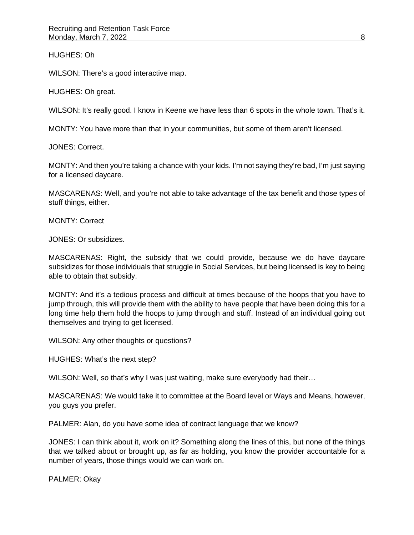HUGHES: Oh

WILSON: There's a good interactive map.

HUGHES: Oh great.

WILSON: It's really good. I know in Keene we have less than 6 spots in the whole town. That's it.

MONTY: You have more than that in your communities, but some of them aren't licensed.

JONES: Correct.

MONTY: And then you're taking a chance with your kids. I'm not saying they're bad, I'm just saying for a licensed daycare.

MASCARENAS: Well, and you're not able to take advantage of the tax benefit and those types of stuff things, either.

MONTY: Correct

JONES: Or subsidizes.

MASCARENAS: Right, the subsidy that we could provide, because we do have daycare subsidizes for those individuals that struggle in Social Services, but being licensed is key to being able to obtain that subsidy.

MONTY: And it's a tedious process and difficult at times because of the hoops that you have to jump through, this will provide them with the ability to have people that have been doing this for a long time help them hold the hoops to jump through and stuff. Instead of an individual going out themselves and trying to get licensed.

WILSON: Any other thoughts or questions?

HUGHES: What's the next step?

WILSON: Well, so that's why I was just waiting, make sure everybody had their...

MASCARENAS: We would take it to committee at the Board level or Ways and Means, however, you guys you prefer.

PALMER: Alan, do you have some idea of contract language that we know?

JONES: I can think about it, work on it? Something along the lines of this, but none of the things that we talked about or brought up, as far as holding, you know the provider accountable for a number of years, those things would we can work on.

PALMER: Okay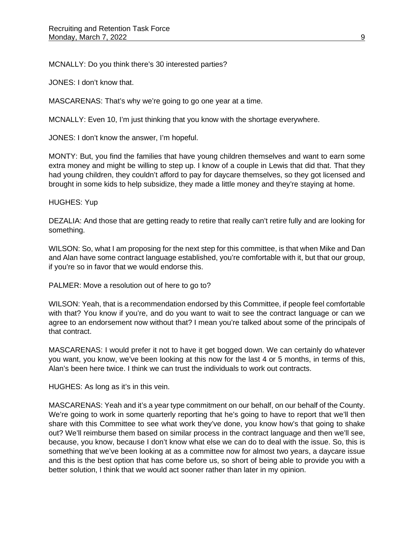MCNALLY: Do you think there's 30 interested parties?

JONES: I don't know that.

MASCARENAS: That's why we're going to go one year at a time.

MCNALLY: Even 10, I'm just thinking that you know with the shortage everywhere.

JONES: I don't know the answer, I'm hopeful.

MONTY: But, you find the families that have young children themselves and want to earn some extra money and might be willing to step up. I know of a couple in Lewis that did that. That they had young children, they couldn't afford to pay for daycare themselves, so they got licensed and brought in some kids to help subsidize, they made a little money and they're staying at home.

#### HUGHES: Yup

DEZALIA: And those that are getting ready to retire that really can't retire fully and are looking for something.

WILSON: So, what I am proposing for the next step for this committee, is that when Mike and Dan and Alan have some contract language established, you're comfortable with it, but that our group, if you're so in favor that we would endorse this.

PALMER: Move a resolution out of here to go to?

WILSON: Yeah, that is a recommendation endorsed by this Committee, if people feel comfortable with that? You know if you're, and do you want to wait to see the contract language or can we agree to an endorsement now without that? I mean you're talked about some of the principals of that contract.

MASCARENAS: I would prefer it not to have it get bogged down. We can certainly do whatever you want, you know, we've been looking at this now for the last 4 or 5 months, in terms of this, Alan's been here twice. I think we can trust the individuals to work out contracts.

HUGHES: As long as it's in this vein.

MASCARENAS: Yeah and it's a year type commitment on our behalf, on our behalf of the County. We're going to work in some quarterly reporting that he's going to have to report that we'll then share with this Committee to see what work they've done, you know how's that going to shake out? We'll reimburse them based on similar process in the contract language and then we'll see, because, you know, because I don't know what else we can do to deal with the issue. So, this is something that we've been looking at as a committee now for almost two years, a daycare issue and this is the best option that has come before us, so short of being able to provide you with a better solution, I think that we would act sooner rather than later in my opinion.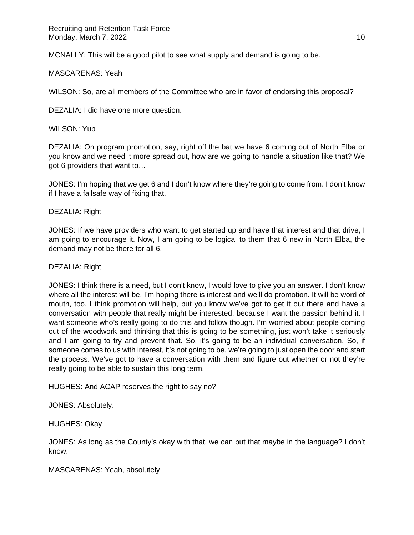MCNALLY: This will be a good pilot to see what supply and demand is going to be.

## MASCARENAS: Yeah

WILSON: So, are all members of the Committee who are in favor of endorsing this proposal?

DEZALIA: I did have one more question.

WILSON: Yup

DEZALIA: On program promotion, say, right off the bat we have 6 coming out of North Elba or you know and we need it more spread out, how are we going to handle a situation like that? We got 6 providers that want to…

JONES: I'm hoping that we get 6 and I don't know where they're going to come from. I don't know if I have a failsafe way of fixing that.

# DEZALIA: Right

JONES: If we have providers who want to get started up and have that interest and that drive, I am going to encourage it. Now, I am going to be logical to them that 6 new in North Elba, the demand may not be there for all 6.

#### DEZALIA: Right

JONES: I think there is a need, but I don't know, I would love to give you an answer. I don't know where all the interest will be. I'm hoping there is interest and we'll do promotion. It will be word of mouth, too. I think promotion will help, but you know we've got to get it out there and have a conversation with people that really might be interested, because I want the passion behind it. I want someone who's really going to do this and follow though. I'm worried about people coming out of the woodwork and thinking that this is going to be something, just won't take it seriously and I am going to try and prevent that. So, it's going to be an individual conversation. So, if someone comes to us with interest, it's not going to be, we're going to just open the door and start the process. We've got to have a conversation with them and figure out whether or not they're really going to be able to sustain this long term.

HUGHES: And ACAP reserves the right to say no?

JONES: Absolutely.

HUGHES: Okay

JONES: As long as the County's okay with that, we can put that maybe in the language? I don't know.

MASCARENAS: Yeah, absolutely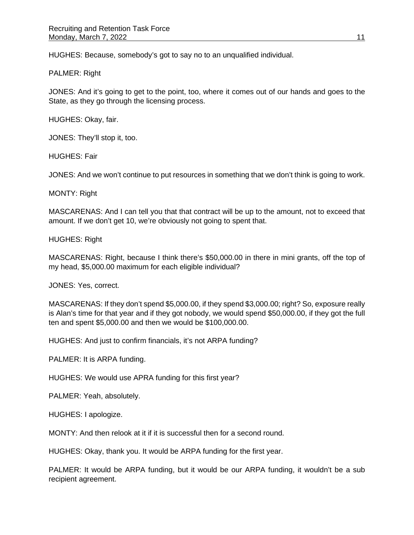HUGHES: Because, somebody's got to say no to an unqualified individual.

#### PALMER: Right

JONES: And it's going to get to the point, too, where it comes out of our hands and goes to the State, as they go through the licensing process.

HUGHES: Okay, fair.

JONES: They'll stop it, too.

HUGHES: Fair

JONES: And we won't continue to put resources in something that we don't think is going to work.

MONTY: Right

MASCARENAS: And I can tell you that that contract will be up to the amount, not to exceed that amount. If we don't get 10, we're obviously not going to spent that.

HUGHES: Right

MASCARENAS: Right, because I think there's \$50,000.00 in there in mini grants, off the top of my head, \$5,000.00 maximum for each eligible individual?

JONES: Yes, correct.

MASCARENAS: If they don't spend \$5,000.00, if they spend \$3,000.00; right? So, exposure really is Alan's time for that year and if they got nobody, we would spend \$50,000.00, if they got the full ten and spent \$5,000.00 and then we would be \$100,000.00.

HUGHES: And just to confirm financials, it's not ARPA funding?

PALMER: It is ARPA funding.

HUGHES: We would use APRA funding for this first year?

PALMER: Yeah, absolutely.

HUGHES: I apologize.

MONTY: And then relook at it if it is successful then for a second round.

HUGHES: Okay, thank you. It would be ARPA funding for the first year.

PALMER: It would be ARPA funding, but it would be our ARPA funding, it wouldn't be a sub recipient agreement.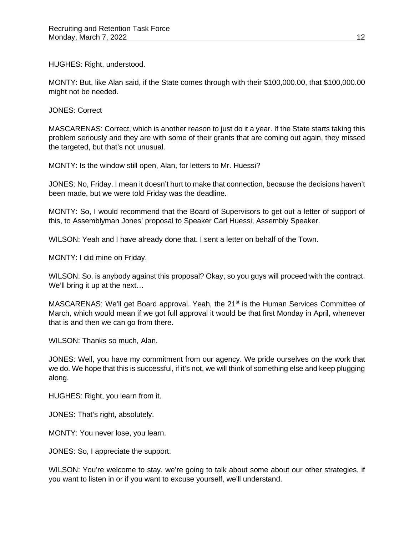HUGHES: Right, understood.

MONTY: But, like Alan said, if the State comes through with their \$100,000.00, that \$100,000.00 might not be needed.

JONES: Correct

MASCARENAS: Correct, which is another reason to just do it a year. If the State starts taking this problem seriously and they are with some of their grants that are coming out again, they missed the targeted, but that's not unusual.

MONTY: Is the window still open, Alan, for letters to Mr. Huessi?

JONES: No, Friday. I mean it doesn't hurt to make that connection, because the decisions haven't been made, but we were told Friday was the deadline.

MONTY: So, I would recommend that the Board of Supervisors to get out a letter of support of this, to Assemblyman Jones' proposal to Speaker Carl Huessi, Assembly Speaker.

WILSON: Yeah and I have already done that. I sent a letter on behalf of the Town.

MONTY: I did mine on Friday.

WILSON: So, is anybody against this proposal? Okay, so you guys will proceed with the contract. We'll bring it up at the next...

MASCARENAS: We'll get Board approval. Yeah, the 21<sup>st</sup> is the Human Services Committee of March, which would mean if we got full approval it would be that first Monday in April, whenever that is and then we can go from there.

WILSON: Thanks so much, Alan.

JONES: Well, you have my commitment from our agency. We pride ourselves on the work that we do. We hope that this is successful, if it's not, we will think of something else and keep plugging along.

HUGHES: Right, you learn from it.

JONES: That's right, absolutely.

MONTY: You never lose, you learn.

JONES: So, I appreciate the support.

WILSON: You're welcome to stay, we're going to talk about some about our other strategies, if you want to listen in or if you want to excuse yourself, we'll understand.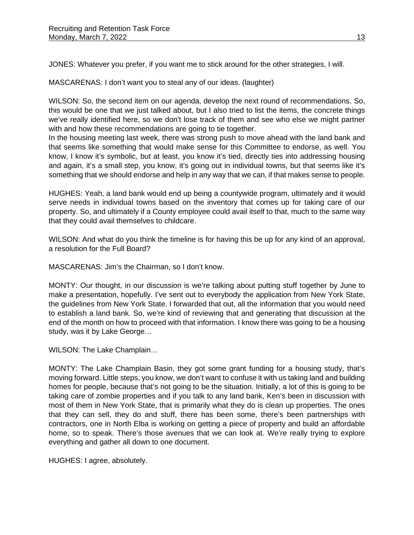JONES: Whatever you prefer, if you want me to stick around for the other strategies, I will.

MASCARENAS: I don't want you to steal any of our ideas. (laughter)

WILSON: So, the second item on our agenda, develop the next round of recommendations. So, this would be one that we just talked about, but I also tried to list the items, the concrete things we've really identified here, so we don't lose track of them and see who else we might partner with and how these recommendations are going to tie together.

In the housing meeting last week, there was strong push to move ahead with the land bank and that seems like something that would make sense for this Committee to endorse, as well. You know, I know it's symbolic, but at least, you know it's tied, directly ties into addressing housing and again, it's a small step, you know, it's going out in individual towns, but that seems like it's something that we should endorse and help in any way that we can, if that makes sense to people.

HUGHES: Yeah, a land bank would end up being a countywide program, ultimately and it would serve needs in individual towns based on the inventory that comes up for taking care of our property. So, and ultimately if a County employee could avail itself to that, much to the same way that they could avail themselves to childcare.

WILSON: And what do you think the timeline is for having this be up for any kind of an approval, a resolution for the Full Board?

MASCARENAS: Jim's the Chairman, so I don't know.

MONTY: Our thought, in our discussion is we're talking about putting stuff together by June to make a presentation, hopefully. I've sent out to everybody the application from New York State, the guidelines from New York State. I forwarded that out, all the information that you would need to establish a land bank. So, we're kind of reviewing that and generating that discussion at the end of the month on how to proceed with that information. I know there was going to be a housing study, was it by Lake George…

WILSON: The Lake Champlain…

MONTY: The Lake Champlain Basin, they got some grant funding for a housing study, that's moving forward. Little steps, you know, we don't want to confuse it with us taking land and building homes for people, because that's not going to be the situation. Initially, a lot of this is going to be taking care of zombie properties and if you talk to any land bank, Ken's been in discussion with most of them in New York State, that is primarily what they do is clean up properties. The ones that they can sell, they do and stuff, there has been some, there's been partnerships with contractors, one in North Elba is working on getting a piece of property and build an affordable home, so to speak. There's those avenues that we can look at. We're really trying to explore everything and gather all down to one document.

HUGHES: I agree, absolutely.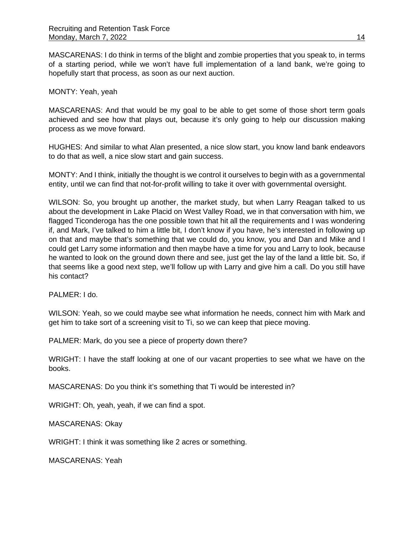MASCARENAS: I do think in terms of the blight and zombie properties that you speak to, in terms of a starting period, while we won't have full implementation of a land bank, we're going to hopefully start that process, as soon as our next auction.

## MONTY: Yeah, yeah

MASCARENAS: And that would be my goal to be able to get some of those short term goals achieved and see how that plays out, because it's only going to help our discussion making process as we move forward.

HUGHES: And similar to what Alan presented, a nice slow start, you know land bank endeavors to do that as well, a nice slow start and gain success.

MONTY: And I think, initially the thought is we control it ourselves to begin with as a governmental entity, until we can find that not-for-profit willing to take it over with governmental oversight.

WILSON: So, you brought up another, the market study, but when Larry Reagan talked to us about the development in Lake Placid on West Valley Road, we in that conversation with him, we flagged Ticonderoga has the one possible town that hit all the requirements and I was wondering if, and Mark, I've talked to him a little bit, I don't know if you have, he's interested in following up on that and maybe that's something that we could do, you know, you and Dan and Mike and I could get Larry some information and then maybe have a time for you and Larry to look, because he wanted to look on the ground down there and see, just get the lay of the land a little bit. So, if that seems like a good next step, we'll follow up with Larry and give him a call. Do you still have his contact?

PALMER: I do.

WILSON: Yeah, so we could maybe see what information he needs, connect him with Mark and get him to take sort of a screening visit to Ti, so we can keep that piece moving.

PALMER: Mark, do you see a piece of property down there?

WRIGHT: I have the staff looking at one of our vacant properties to see what we have on the books.

MASCARENAS: Do you think it's something that Ti would be interested in?

WRIGHT: Oh, yeah, yeah, if we can find a spot.

MASCARENAS: Okay

WRIGHT: I think it was something like 2 acres or something.

MASCARENAS: Yeah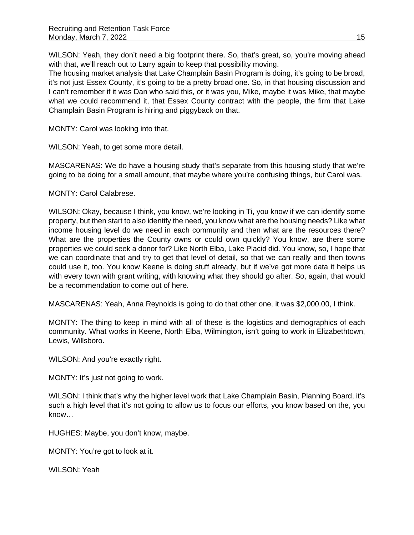WILSON: Yeah, they don't need a big footprint there. So, that's great, so, you're moving ahead with that, we'll reach out to Larry again to keep that possibility moving.

The housing market analysis that Lake Champlain Basin Program is doing, it's going to be broad, it's not just Essex County, it's going to be a pretty broad one. So, in that housing discussion and I can't remember if it was Dan who said this, or it was you, Mike, maybe it was Mike, that maybe what we could recommend it, that Essex County contract with the people, the firm that Lake Champlain Basin Program is hiring and piggyback on that.

MONTY: Carol was looking into that.

WILSON: Yeah, to get some more detail.

MASCARENAS: We do have a housing study that's separate from this housing study that we're going to be doing for a small amount, that maybe where you're confusing things, but Carol was.

MONTY: Carol Calabrese.

WILSON: Okay, because I think, you know, we're looking in Ti, you know if we can identify some property, but then start to also identify the need, you know what are the housing needs? Like what income housing level do we need in each community and then what are the resources there? What are the properties the County owns or could own quickly? You know, are there some properties we could seek a donor for? Like North Elba, Lake Placid did. You know, so, I hope that we can coordinate that and try to get that level of detail, so that we can really and then towns could use it, too. You know Keene is doing stuff already, but if we've got more data it helps us with every town with grant writing, with knowing what they should go after. So, again, that would be a recommendation to come out of here.

MASCARENAS: Yeah, Anna Reynolds is going to do that other one, it was \$2,000.00, I think.

MONTY: The thing to keep in mind with all of these is the logistics and demographics of each community. What works in Keene, North Elba, Wilmington, isn't going to work in Elizabethtown, Lewis, Willsboro.

WILSON: And you're exactly right.

MONTY: It's just not going to work.

WILSON: I think that's why the higher level work that Lake Champlain Basin, Planning Board, it's such a high level that it's not going to allow us to focus our efforts, you know based on the, you know…

HUGHES: Maybe, you don't know, maybe.

MONTY: You're got to look at it.

WILSON: Yeah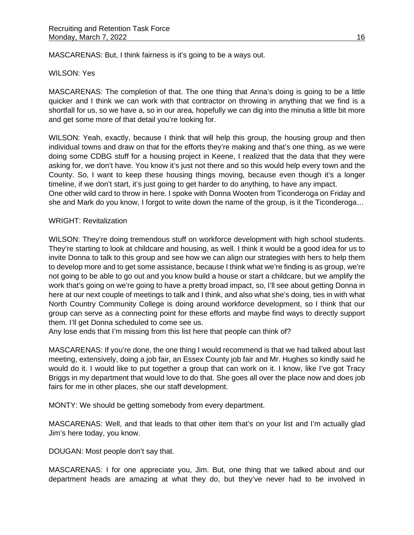MASCARENAS: But, I think fairness is it's going to be a ways out.

#### WILSON: Yes

MASCARENAS: The completion of that. The one thing that Anna's doing is going to be a little quicker and I think we can work with that contractor on throwing in anything that we find is a shortfall for us, so we have a, so in our area, hopefully we can dig into the minutia a little bit more and get some more of that detail you're looking for.

WILSON: Yeah, exactly, because I think that will help this group, the housing group and then individual towns and draw on that for the efforts they're making and that's one thing, as we were doing some CDBG stuff for a housing project in Keene, I realized that the data that they were asking for, we don't have. You know it's just not there and so this would help every town and the County. So, I want to keep these housing things moving, because even though it's a longer timeline, if we don't start, it's just going to get harder to do anything, to have any impact. One other wild card to throw in here. I spoke with Donna Wooten from Ticonderoga on Friday and she and Mark do you know, I forgot to write down the name of the group, is it the Ticonderoga…

#### WRIGHT: Revitalization

WILSON: They're doing tremendous stuff on workforce development with high school students. They're starting to look at childcare and housing, as well. I think it would be a good idea for us to invite Donna to talk to this group and see how we can align our strategies with hers to help them to develop more and to get some assistance, because I think what we're finding is as group, we're not going to be able to go out and you know build a house or start a childcare, but we amplify the work that's going on we're going to have a pretty broad impact, so, I'll see about getting Donna in here at our next couple of meetings to talk and I think, and also what she's doing, ties in with what North Country Community College is doing around workforce development, so I think that our group can serve as a connecting point for these efforts and maybe find ways to directly support them. I'll get Donna scheduled to come see us.

Any lose ends that I'm missing from this list here that people can think of?

MASCARENAS: If you're done, the one thing I would recommend is that we had talked about last meeting, extensively, doing a job fair, an Essex County job fair and Mr. Hughes so kindly said he would do it. I would like to put together a group that can work on it. I know, like I've got Tracy Briggs in my department that would love to do that. She goes all over the place now and does job fairs for me in other places, she our staff development.

MONTY: We should be getting somebody from every department.

MASCARENAS: Well, and that leads to that other item that's on your list and I'm actually glad Jim's here today, you know.

DOUGAN: Most people don't say that.

MASCARENAS: I for one appreciate you, Jim. But, one thing that we talked about and our department heads are amazing at what they do, but they've never had to be involved in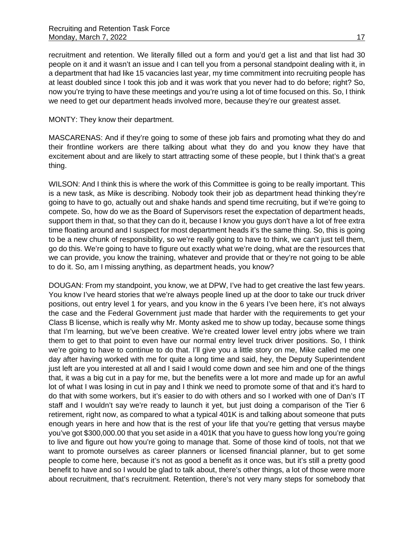#### MONTY: They know their department.

MASCARENAS: And if they're going to some of these job fairs and promoting what they do and their frontline workers are there talking about what they do and you know they have that excitement about and are likely to start attracting some of these people, but I think that's a great thing.

WILSON: And I think this is where the work of this Committee is going to be really important. This is a new task, as Mike is describing. Nobody took their job as department head thinking they're going to have to go, actually out and shake hands and spend time recruiting, but if we're going to compete. So, how do we as the Board of Supervisors reset the expectation of department heads, support them in that, so that they can do it, because I know you guys don't have a lot of free extra time floating around and I suspect for most department heads it's the same thing. So, this is going to be a new chunk of responsibility, so we're really going to have to think, we can't just tell them, go do this. We're going to have to figure out exactly what we're doing, what are the resources that we can provide, you know the training, whatever and provide that or they're not going to be able to do it. So, am I missing anything, as department heads, you know?

DOUGAN: From my standpoint, you know, we at DPW, I've had to get creative the last few years. You know I've heard stories that we're always people lined up at the door to take our truck driver positions, out entry level 1 for years, and you know in the 6 years I've been here, it's not always the case and the Federal Government just made that harder with the requirements to get your Class B license, which is really why Mr. Monty asked me to show up today, because some things that I'm learning, but we've been creative. We're created lower level entry jobs where we train them to get to that point to even have our normal entry level truck driver positions. So, I think we're going to have to continue to do that. I'll give you a little story on me, Mike called me one day after having worked with me for quite a long time and said, hey, the Deputy Superintendent just left are you interested at all and I said I would come down and see him and one of the things that, it was a big cut in a pay for me, but the benefits were a lot more and made up for an awful lot of what I was losing in cut in pay and I think we need to promote some of that and it's hard to do that with some workers, but it's easier to do with others and so I worked with one of Dan's IT staff and I wouldn't say we're ready to launch it yet, but just doing a comparison of the Tier 6 retirement, right now, as compared to what a typical 401K is and talking about someone that puts enough years in here and how that is the rest of your life that you're getting that versus maybe you've got \$300,000.00 that you set aside in a 401K that you have to guess how long you're going to live and figure out how you're going to manage that. Some of those kind of tools, not that we want to promote ourselves as career planners or licensed financial planner, but to get some people to come here, because it's not as good a benefit as it once was, but it's still a pretty good benefit to have and so I would be glad to talk about, there's other things, a lot of those were more about recruitment, that's recruitment. Retention, there's not very many steps for somebody that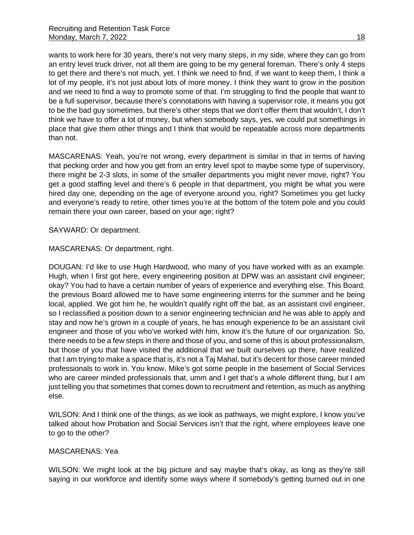wants to work here for 30 years, there's not very many steps, in my side, where they can go from an entry level truck driver, not all them are going to be my general foreman. There's only 4 steps to get there and there's not much, yet. I think we need to find, if we want to keep them, I think a lot of my people, it's not just about lots of more money. I think they want to grow in the position and we need to find a way to promote some of that. I'm struggling to find the people that want to be a full supervisor, because there's connotations with having a supervisor role, it means you got to be the bad guy sometimes, but there's other steps that we don't offer them that wouldn't, I don't think we have to offer a lot of money, but when somebody says, yes, we could put somethings in place that give them other things and I think that would be repeatable across more departments than not.

MASCARENAS: Yeah, you're not wrong, every department is similar in that in terms of having that pecking order and how you get from an entry level spot to maybe some type of supervisory, there might be 2-3 slots, in some of the smaller departments you might never move, right? You get a good staffing level and there's 6 people in that department, you might be what you were hired day one, depending on the age of everyone around you, right? Sometimes you get lucky and everyone's ready to retire, other times you're at the bottom of the totem pole and you could remain there your own career, based on your age; right?

SAYWARD: Or department.

## MASCARENAS: Or department, right.

DOUGAN: I'd like to use Hugh Hardwood, who many of you have worked with as an example. Hugh, when I first got here, every engineering position at DPW was an assistant civil engineer; okay? You had to have a certain number of years of experience and everything else. This Board, the previous Board allowed me to have some engineering interns for the summer and he being local, applied. We got him he, he wouldn't qualify right off the bat, as an assistant civil engineer, so I reclassified a position down to a senior engineering technician and he was able to apply and stay and now he's grown in a couple of years, he has enough experience to be an assistant civil engineer and those of you who've worked with him, know it's the future of our organization. So, there needs to be a few steps in there and those of you, and some of this is about professionalism, but those of you that have visited the additional that we built ourselves up there, have realized that I am trying to make a space that is, it's not a Taj Mahal, but it's decent for those career minded professionals to work in. You know, Mike's got some people in the basement of Social Services who are career minded professionals that, umm and I get that's a whole different thing, but I am just telling you that sometimes that comes down to recruitment and retention, as much as anything else.

WILSON: And I think one of the things, as we look as pathways, we might explore, I know you've talked about how Probation and Social Services isn't that the right, where employees leave one to go to the other?

#### MASCARENAS: Yea

WILSON: We might look at the big picture and say maybe that's okay, as long as they're still saying in our workforce and identify some ways where if somebody's getting burned out in one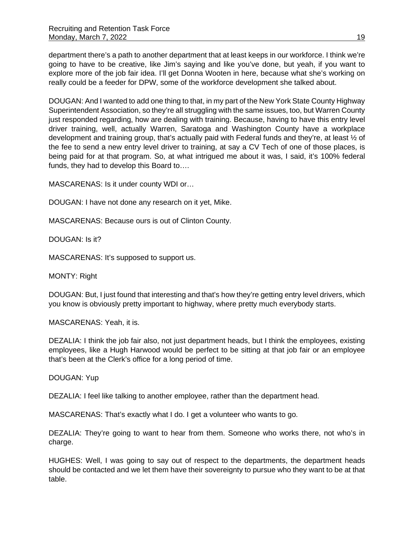department there's a path to another department that at least keeps in our workforce. I think we're going to have to be creative, like Jim's saying and like you've done, but yeah, if you want to explore more of the job fair idea. I'll get Donna Wooten in here, because what she's working on really could be a feeder for DPW, some of the workforce development she talked about.

DOUGAN: And I wanted to add one thing to that, in my part of the New York State County Highway Superintendent Association, so they're all struggling with the same issues, too, but Warren County just responded regarding, how are dealing with training. Because, having to have this entry level driver training, well, actually Warren, Saratoga and Washington County have a workplace development and training group, that's actually paid with Federal funds and they're, at least ½ of the fee to send a new entry level driver to training, at say a CV Tech of one of those places, is being paid for at that program. So, at what intrigued me about it was, I said, it's 100% federal funds, they had to develop this Board to….

MASCARENAS: Is it under county WDI or…

DOUGAN: I have not done any research on it yet, Mike.

MASCARENAS: Because ours is out of Clinton County.

DOUGAN: Is it?

MASCARENAS: It's supposed to support us.

MONTY: Right

DOUGAN: But, I just found that interesting and that's how they're getting entry level drivers, which you know is obviously pretty important to highway, where pretty much everybody starts.

MASCARENAS: Yeah, it is.

DEZALIA: I think the job fair also, not just department heads, but I think the employees, existing employees, like a Hugh Harwood would be perfect to be sitting at that job fair or an employee that's been at the Clerk's office for a long period of time.

DOUGAN: Yup

DEZALIA: I feel like talking to another employee, rather than the department head.

MASCARENAS: That's exactly what I do. I get a volunteer who wants to go.

DEZALIA: They're going to want to hear from them. Someone who works there, not who's in charge.

HUGHES: Well, I was going to say out of respect to the departments, the department heads should be contacted and we let them have their sovereignty to pursue who they want to be at that table.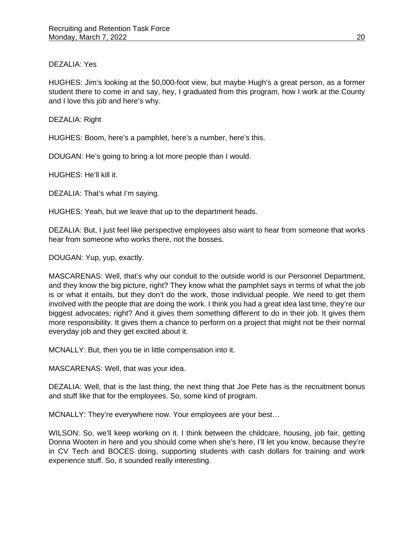## DEZALIA: Yes

HUGHES: Jim's looking at the 50,000-foot view, but maybe Hugh's a great person, as a former student there to come in and say, hey, I graduated from this program, how I work at the County and I love this job and here's why.

DEZALIA: Right

HUGHES: Boom, here's a pamphlet, here's a number, here's this.

DOUGAN: He's going to bring a lot more people than I would.

HUGHES: He'll kill it.

DEZALIA: That's what I'm saying.

HUGHES: Yeah, but we leave that up to the department heads.

DEZALIA: But, I just feel like perspective employees also want to hear from someone that works hear from someone who works there, not the bosses.

DOUGAN: Yup, yup, exactly.

MASCARENAS: Well, that's why our conduit to the outside world is our Personnel Department, and they know the big picture, right? They know what the pamphlet says in terms of what the job is or what it entails, but they don't do the work, those individual people. We need to get them involved with the people that are doing the work. I think you had a great idea last time, they're our biggest advocates; right? And it gives them something different to do in their job. It gives them more responsibility. It gives them a chance to perform on a project that might not be their normal everyday job and they get excited about it.

MCNALLY: But, then you tie in little compensation into it.

MASCARENAS: Well, that was your idea.

DEZALIA: Well, that is the last thing, the next thing that Joe Pete has is the recruitment bonus and stuff like that for the employees. So, some kind of program.

MCNALLY: They're everywhere now. Your employees are your best…

WILSON: So, we'll keep working on it. I think between the childcare, housing, job fair, getting Donna Wooten in here and you should come when she's here, I'll let you know, because they're in CV Tech and BOCES doing, supporting students with cash dollars for training and work experience stuff. So, it sounded really interesting.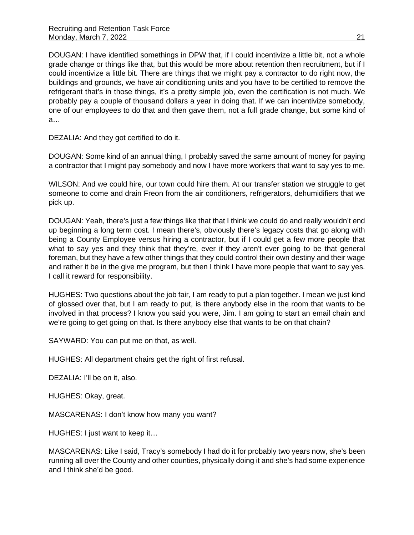DOUGAN: I have identified somethings in DPW that, if I could incentivize a little bit, not a whole grade change or things like that, but this would be more about retention then recruitment, but if I could incentivize a little bit. There are things that we might pay a contractor to do right now, the buildings and grounds, we have air conditioning units and you have to be certified to remove the refrigerant that's in those things, it's a pretty simple job, even the certification is not much. We probably pay a couple of thousand dollars a year in doing that. If we can incentivize somebody, one of our employees to do that and then gave them, not a full grade change, but some kind of a…

DEZALIA: And they got certified to do it.

DOUGAN: Some kind of an annual thing, I probably saved the same amount of money for paying a contractor that I might pay somebody and now I have more workers that want to say yes to me.

WILSON: And we could hire, our town could hire them. At our transfer station we struggle to get someone to come and drain Freon from the air conditioners, refrigerators, dehumidifiers that we pick up.

DOUGAN: Yeah, there's just a few things like that that I think we could do and really wouldn't end up beginning a long term cost. I mean there's, obviously there's legacy costs that go along with being a County Employee versus hiring a contractor, but if I could get a few more people that what to say yes and they think that they're, ever if they aren't ever going to be that general foreman, but they have a few other things that they could control their own destiny and their wage and rather it be in the give me program, but then I think I have more people that want to say yes. I call it reward for responsibility.

HUGHES: Two questions about the job fair, I am ready to put a plan together. I mean we just kind of glossed over that, but I am ready to put, is there anybody else in the room that wants to be involved in that process? I know you said you were, Jim. I am going to start an email chain and we're going to get going on that. Is there anybody else that wants to be on that chain?

SAYWARD: You can put me on that, as well.

HUGHES: All department chairs get the right of first refusal.

DEZALIA: I'll be on it, also.

HUGHES: Okay, great.

MASCARENAS: I don't know how many you want?

HUGHES: I just want to keep it…

MASCARENAS: Like I said, Tracy's somebody I had do it for probably two years now, she's been running all over the County and other counties, physically doing it and she's had some experience and I think she'd be good.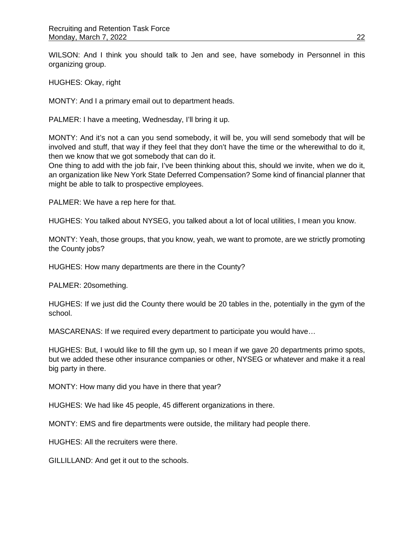WILSON: And I think you should talk to Jen and see, have somebody in Personnel in this organizing group.

HUGHES: Okay, right

MONTY: And I a primary email out to department heads.

PALMER: I have a meeting, Wednesday, I'll bring it up.

MONTY: And it's not a can you send somebody, it will be, you will send somebody that will be involved and stuff, that way if they feel that they don't have the time or the wherewithal to do it, then we know that we got somebody that can do it.

One thing to add with the job fair, I've been thinking about this, should we invite, when we do it, an organization like New York State Deferred Compensation? Some kind of financial planner that might be able to talk to prospective employees.

PALMER: We have a rep here for that.

HUGHES: You talked about NYSEG, you talked about a lot of local utilities, I mean you know.

MONTY: Yeah, those groups, that you know, yeah, we want to promote, are we strictly promoting the County jobs?

HUGHES: How many departments are there in the County?

PALMER: 20something.

HUGHES: If we just did the County there would be 20 tables in the, potentially in the gym of the school.

MASCARENAS: If we required every department to participate you would have…

HUGHES: But, I would like to fill the gym up, so I mean if we gave 20 departments primo spots, but we added these other insurance companies or other, NYSEG or whatever and make it a real big party in there.

MONTY: How many did you have in there that year?

HUGHES: We had like 45 people, 45 different organizations in there.

MONTY: EMS and fire departments were outside, the military had people there.

HUGHES: All the recruiters were there.

GILLILLAND: And get it out to the schools.